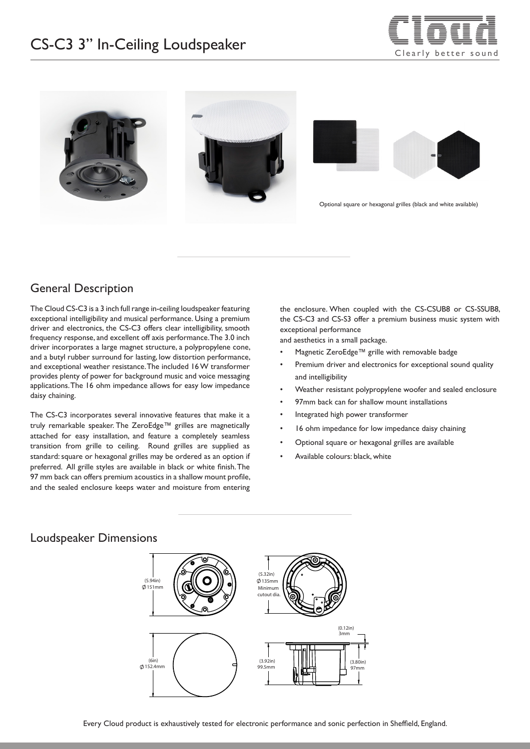# $CS-C3$  3" In-Ceiling Loudspeaker  $\overline{\phantom{C}}$  and  $\overline{\phantom{C}}$  arily better sound





### General Description

The Cloud CS-C3 is a 3 inch full range in-ceiling loudspeaker featuring exceptional intelligibility and musical performance. Using a premium driver and electronics, the CS-C3 offers clear intelligibility, smooth frequency response, and excellent off axis performance. The 3.0 inch driver incorporates a large magnet structure, a polypropylene cone, and a butyl rubber surround for lasting, low distortion performance, and exceptional weather resistance. The included 16 W transformer provides plenty of power for background music and voice messaging applications. The 16 ohm impedance allows for easy low impedance daisy chaining.

The CS-C3 incorporates several innovative features that make it a truly remarkable speaker. The ZeroEdge™ grilles are magnetically attached for easy installation, and feature a completely seamless transition from grille to ceiling. Round grilles are supplied as standard: square or hexagonal grilles may be ordered as an option if preferred. All grille styles are available in black or white finish. The 97 mm back can offers premium acoustics in a shallow mount profile, and the sealed enclosure keeps water and moisture from entering the enclosure. When coupled with the CS-CSUB8 or CS-SSUB8, the CS-C3 and CS-S3 offer a premium business music system with exceptional performance

and aesthetics in a small package.

- Magnetic ZeroEdge™ grille with removable badge
- Premium driver and electronics for exceptional sound quality and intelligibility
- Weather resistant polypropylene woofer and sealed enclosure
- 97mm back can for shallow mount installations
- Integrated high power transformer
- 16 ohm impedance for low impedance daisy chaining
- Optional square or hexagonal grilles are available
- Available colours: black, white

### Loudspeaker Dimensions

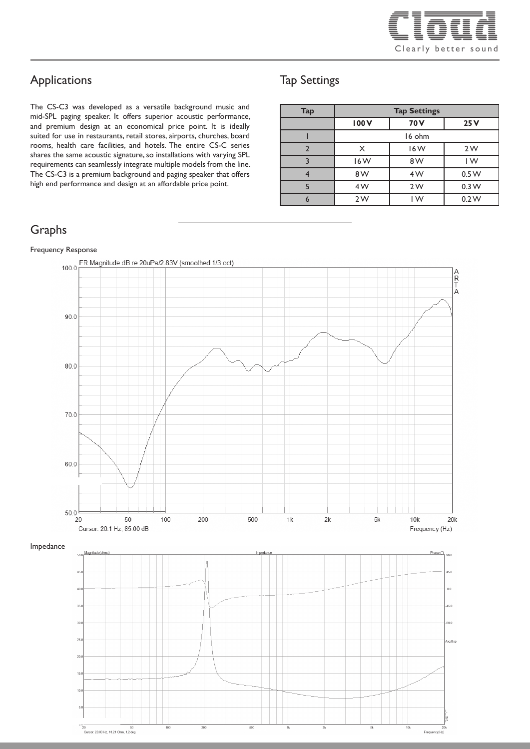

### Applications

The CS-C3 was developed as a versatile background music and mid-SPL paging speaker. It offers superior acoustic performance, and premium design at an economical price point. It is ideally suited for use in restaurants, retail stores, airports, churches, board rooms, health care facilities, and hotels. The entire CS-C series shares the same acoustic signature, so installations with varying SPL requirements can seamlessly integrate multiple models from the line. The CS-C3 is a premium background and paging speaker that offers high end performance and design at an affordable price point.

### Graphs

#### Frequency Response



### Tap Settings

| <b>Tap</b> | <b>Tap Settings</b> |        |                  |
|------------|---------------------|--------|------------------|
|            | 100V                | 70 V   | 25V              |
|            |                     | 16 ohm |                  |
| າ          | X                   | 16W    | 2W               |
|            | 16W                 | 8 W    | IW               |
|            | 8W                  | 4W     | 0.5 W            |
|            | 4W                  | 2W     | 0.3 <sub>W</sub> |
|            | 2W                  | IW     | 0.2 W            |